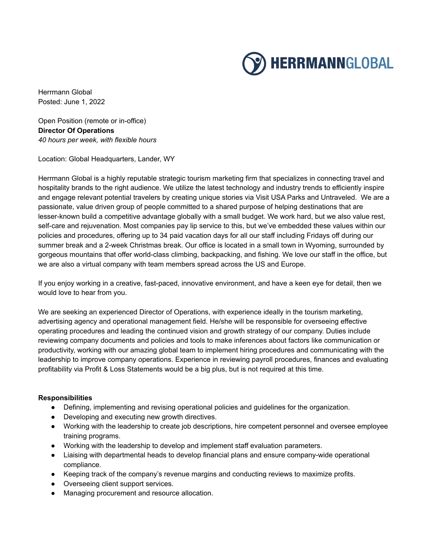

Herrmann Global Posted: June 1, 2022

Open Position (remote or in-office) **Director Of Operations** *40 hours per week, with flexible hours*

Location: Global Headquarters, Lander, WY

Herrmann Global is a highly reputable strategic tourism marketing firm that specializes in connecting travel and hospitality brands to the right audience. We utilize the latest technology and industry trends to efficiently inspire and engage relevant potential travelers by creating unique stories via Visit USA Parks and Untraveled. We are a passionate, value driven group of people committed to a shared purpose of helping destinations that are lesser-known build a competitive advantage globally with a small budget. We work hard, but we also value rest, self-care and rejuvenation. Most companies pay lip service to this, but we've embedded these values within our policies and procedures, offering up to 34 paid vacation days for all our staff including Fridays off during our summer break and a 2-week Christmas break. Our office is located in a small town in Wyoming, surrounded by gorgeous mountains that offer world-class climbing, backpacking, and fishing. We love our staff in the office, but we are also a virtual company with team members spread across the US and Europe.

If you enjoy working in a creative, fast-paced, innovative environment, and have a keen eye for detail, then we would love to hear from you.

We are seeking an experienced Director of Operations, with experience ideally in the tourism marketing, advertising agency and operational management field. He/she will be responsible for overseeing effective operating procedures and leading the continued vision and growth strategy of our company. Duties include reviewing company documents and policies and tools to make inferences about factors like communication or productivity, working with our amazing global team to implement hiring procedures and communicating with the leadership to improve company operations. Experience in reviewing payroll procedures, finances and evaluating profitability via Profit & Loss Statements would be a big plus, but is not required at this time.

## **Responsibilities**

- Defining, implementing and revising operational policies and guidelines for the organization.
- Developing and executing new growth directives.
- Working with the leadership to create job descriptions, hire competent personnel and oversee employee training programs.
- Working with the leadership to develop and implement staff evaluation parameters.
- Liaising with departmental heads to develop financial plans and ensure company-wide operational compliance.
- Keeping track of the company's revenue margins and conducting reviews to maximize profits.
- Overseeing client support services.
- Managing procurement and resource allocation.